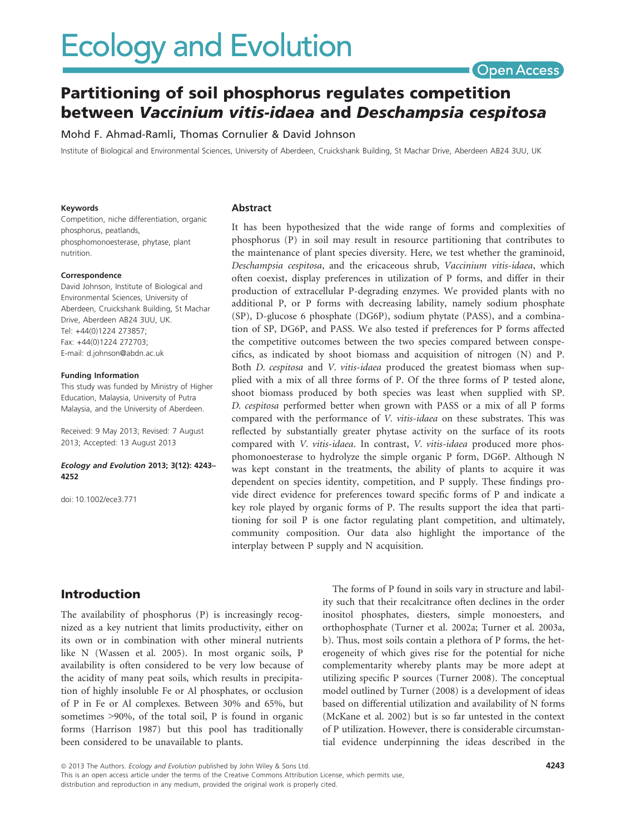# **Ecology and Evolution**

# Open Access

# Partitioning of soil phosphorus regulates competition between Vaccinium vitis-idaea and Deschampsia cespitosa

Mohd F. Ahmad-Ramli, Thomas Cornulier & David Johnson

Institute of Biological and Environmental Sciences, University of Aberdeen, Cruickshank Building, St Machar Drive, Aberdeen AB24 3UU, UK

#### Keywords

Competition, niche differentiation, organic phosphorus, peatlands, phosphomonoesterase, phytase, plant nutrition.

#### Correspondence

David Johnson, Institute of Biological and Environmental Sciences, University of Aberdeen, Cruickshank Building, St Machar Drive, Aberdeen AB24 3UU, UK. Tel: +44(0)1224 273857; Fax: +44(0)1224 272703; E-mail: d.johnson@abdn.ac.uk

#### Funding Information

This study was funded by Ministry of Higher Education, Malaysia, University of Putra Malaysia, and the University of Aberdeen.

Received: 9 May 2013; Revised: 7 August 2013; Accepted: 13 August 2013

#### Ecology and Evolution 2013; 3(12): 4243– 4252

doi: 10.1002/ece3.771

#### Abstract

It has been hypothesized that the wide range of forms and complexities of phosphorus (P) in soil may result in resource partitioning that contributes to the maintenance of plant species diversity. Here, we test whether the graminoid, Deschampsia cespitosa, and the ericaceous shrub, Vaccinium vitis-idaea, which often coexist, display preferences in utilization of P forms, and differ in their production of extracellular P-degrading enzymes. We provided plants with no additional P, or P forms with decreasing lability, namely sodium phosphate (SP), D-glucose 6 phosphate (DG6P), sodium phytate (PASS), and a combination of SP, DG6P, and PASS. We also tested if preferences for P forms affected the competitive outcomes between the two species compared between conspecifics, as indicated by shoot biomass and acquisition of nitrogen (N) and P. Both *D. cespitosa* and *V. vitis-idaea* produced the greatest biomass when supplied with a mix of all three forms of P. Of the three forms of P tested alone, shoot biomass produced by both species was least when supplied with SP. D. cespitosa performed better when grown with PASS or a mix of all P forms compared with the performance of V. vitis-idaea on these substrates. This was reflected by substantially greater phytase activity on the surface of its roots compared with V. vitis-idaea. In contrast, V. vitis-idaea produced more phosphomonoesterase to hydrolyze the simple organic P form, DG6P. Although N was kept constant in the treatments, the ability of plants to acquire it was dependent on species identity, competition, and P supply. These findings provide direct evidence for preferences toward specific forms of P and indicate a key role played by organic forms of P. The results support the idea that partitioning for soil P is one factor regulating plant competition, and ultimately, community composition. Our data also highlight the importance of the interplay between P supply and N acquisition.

# Introduction

The availability of phosphorus (P) is increasingly recognized as a key nutrient that limits productivity, either on its own or in combination with other mineral nutrients like N (Wassen et al. 2005). In most organic soils, P availability is often considered to be very low because of the acidity of many peat soils, which results in precipitation of highly insoluble Fe or Al phosphates, or occlusion of P in Fe or Al complexes. Between 30% and 65%, but sometimes >90%, of the total soil, P is found in organic forms (Harrison 1987) but this pool has traditionally been considered to be unavailable to plants.

The forms of P found in soils vary in structure and lability such that their recalcitrance often declines in the order inositol phosphates, diesters, simple monoesters, and orthophosphate (Turner et al. 2002a; Turner et al. 2003a, b). Thus, most soils contain a plethora of P forms, the heterogeneity of which gives rise for the potential for niche complementarity whereby plants may be more adept at utilizing specific P sources (Turner 2008). The conceptual model outlined by Turner (2008) is a development of ideas based on differential utilization and availability of N forms (McKane et al. 2002) but is so far untested in the context of P utilization. However, there is considerable circumstantial evidence underpinning the ideas described in the

ª 2013 The Authors. Ecology and Evolution published by John Wiley & Sons Ltd.

This is an open access article under the terms of the Creative Commons Attribution License, which permits use, distribution and reproduction in any medium, provided the original work is properly cited.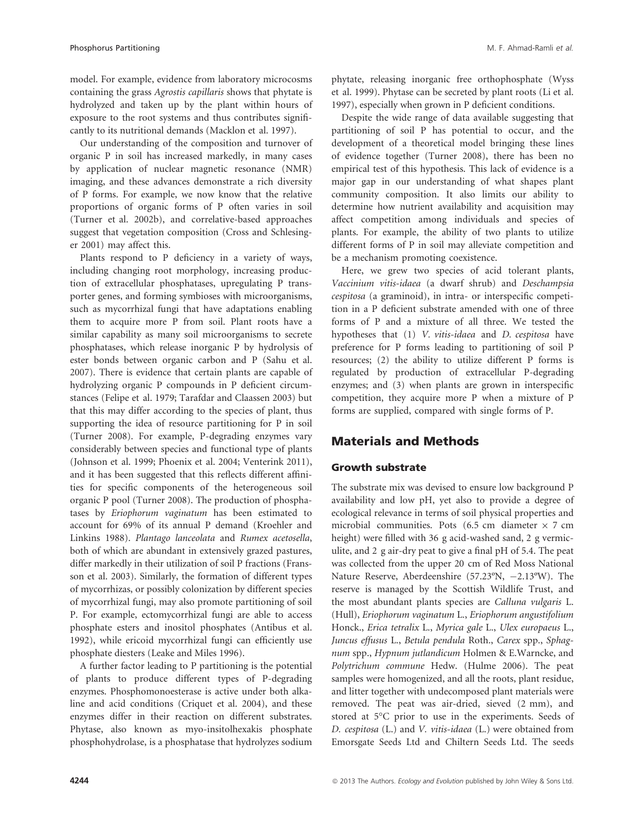model. For example, evidence from laboratory microcosms containing the grass Agrostis capillaris shows that phytate is hydrolyzed and taken up by the plant within hours of exposure to the root systems and thus contributes significantly to its nutritional demands (Macklon et al. 1997).

Our understanding of the composition and turnover of organic P in soil has increased markedly, in many cases by application of nuclear magnetic resonance (NMR) imaging, and these advances demonstrate a rich diversity of P forms. For example, we now know that the relative proportions of organic forms of P often varies in soil (Turner et al. 2002b), and correlative-based approaches suggest that vegetation composition (Cross and Schlesinger 2001) may affect this.

Plants respond to P deficiency in a variety of ways, including changing root morphology, increasing production of extracellular phosphatases, upregulating P transporter genes, and forming symbioses with microorganisms, such as mycorrhizal fungi that have adaptations enabling them to acquire more P from soil. Plant roots have a similar capability as many soil microorganisms to secrete phosphatases, which release inorganic P by hydrolysis of ester bonds between organic carbon and P (Sahu et al. 2007). There is evidence that certain plants are capable of hydrolyzing organic P compounds in P deficient circumstances (Felipe et al. 1979; Tarafdar and Claassen 2003) but that this may differ according to the species of plant, thus supporting the idea of resource partitioning for P in soil (Turner 2008). For example, P-degrading enzymes vary considerably between species and functional type of plants (Johnson et al. 1999; Phoenix et al. 2004; Venterink 2011), and it has been suggested that this reflects different affinities for specific components of the heterogeneous soil organic P pool (Turner 2008). The production of phosphatases by Eriophorum vaginatum has been estimated to account for 69% of its annual P demand (Kroehler and Linkins 1988). Plantago lanceolata and Rumex acetosella, both of which are abundant in extensively grazed pastures, differ markedly in their utilization of soil P fractions (Fransson et al. 2003). Similarly, the formation of different types of mycorrhizas, or possibly colonization by different species of mycorrhizal fungi, may also promote partitioning of soil P. For example, ectomycorrhizal fungi are able to access phosphate esters and inositol phosphates (Antibus et al. 1992), while ericoid mycorrhizal fungi can efficiently use phosphate diesters (Leake and Miles 1996).

A further factor leading to P partitioning is the potential of plants to produce different types of P-degrading enzymes. Phosphomonoesterase is active under both alkaline and acid conditions (Criquet et al. 2004), and these enzymes differ in their reaction on different substrates. Phytase, also known as myo-insitolhexakis phosphate phosphohydrolase, is a phosphatase that hydrolyzes sodium phytate, releasing inorganic free orthophosphate (Wyss et al. 1999). Phytase can be secreted by plant roots (Li et al. 1997), especially when grown in P deficient conditions.

Despite the wide range of data available suggesting that partitioning of soil P has potential to occur, and the development of a theoretical model bringing these lines of evidence together (Turner 2008), there has been no empirical test of this hypothesis. This lack of evidence is a major gap in our understanding of what shapes plant community composition. It also limits our ability to determine how nutrient availability and acquisition may affect competition among individuals and species of plants. For example, the ability of two plants to utilize different forms of P in soil may alleviate competition and be a mechanism promoting coexistence.

Here, we grew two species of acid tolerant plants, Vaccinium vitis-idaea (a dwarf shrub) and Deschampsia cespitosa (a graminoid), in intra- or interspecific competition in a P deficient substrate amended with one of three forms of P and a mixture of all three. We tested the hypotheses that (1) V. vitis-idaea and D. cespitosa have preference for P forms leading to partitioning of soil P resources; (2) the ability to utilize different P forms is regulated by production of extracellular P-degrading enzymes; and (3) when plants are grown in interspecific competition, they acquire more P when a mixture of P forms are supplied, compared with single forms of P.

# Materials and Methods

### Growth substrate

The substrate mix was devised to ensure low background P availability and low pH, yet also to provide a degree of ecological relevance in terms of soil physical properties and microbial communities. Pots (6.5 cm diameter  $\times$  7 cm height) were filled with 36 g acid-washed sand, 2 g vermiculite, and 2 g air-dry peat to give a final pH of 5.4. The peat was collected from the upper 20 cm of Red Moss National Nature Reserve, Aberdeenshire (57.23°N, -2.13°W). The reserve is managed by the Scottish Wildlife Trust, and the most abundant plants species are Calluna vulgaris L. (Hull), Eriophorum vaginatum L., Eriophorum angustifolium Honck., Erica tetralix L., Myrica gale L., Ulex europaeus L., Juncus effusus L., Betula pendula Roth., Carex spp., Sphagnum spp., Hypnum jutlandicum Holmen & E.Warncke, and Polytrichum commune Hedw. (Hulme 2006). The peat samples were homogenized, and all the roots, plant residue, and litter together with undecomposed plant materials were removed. The peat was air-dried, sieved (2 mm), and stored at 5°C prior to use in the experiments. Seeds of D. cespitosa (L.) and V. vitis-idaea (L.) were obtained from Emorsgate Seeds Ltd and Chiltern Seeds Ltd. The seeds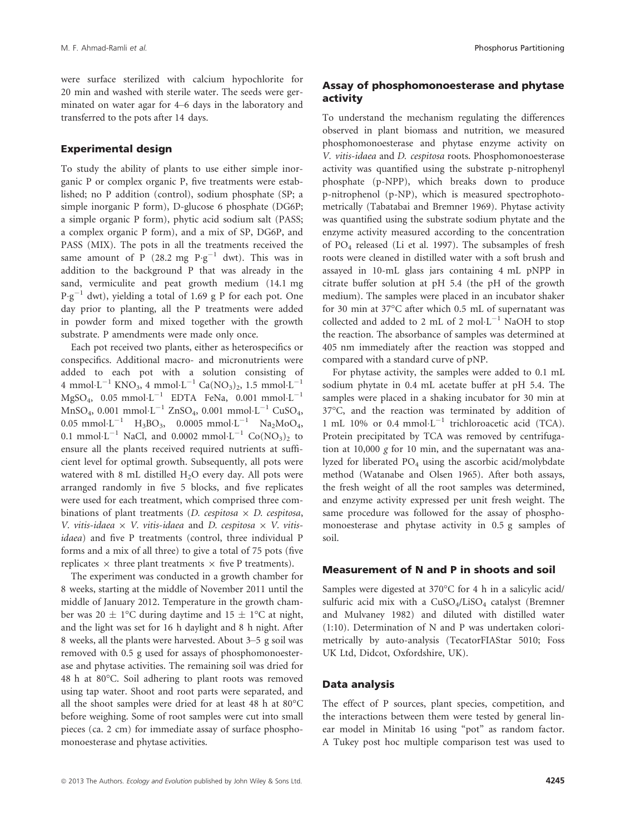were surface sterilized with calcium hypochlorite for 20 min and washed with sterile water. The seeds were germinated on water agar for 4–6 days in the laboratory and transferred to the pots after 14 days.

#### Experimental design

To study the ability of plants to use either simple inorganic P or complex organic P, five treatments were established; no P addition (control), sodium phosphate (SP; a simple inorganic P form), D-glucose 6 phosphate (DG6P; a simple organic P form), phytic acid sodium salt (PASS; a complex organic P form), and a mix of SP, DG6P, and PASS (MIX). The pots in all the treatments received the same amount of P (28.2 mg  $P \cdot g^{-1}$  dwt). This was in addition to the background P that was already in the sand, vermiculite and peat growth medium (14.1 mg  $P \cdot g^{-1}$  dwt), yielding a total of 1.69 g P for each pot. One day prior to planting, all the P treatments were added in powder form and mixed together with the growth substrate. P amendments were made only once.

Each pot received two plants, either as heterospecifics or conspecifics. Additional macro- and micronutrients were added to each pot with a solution consisting of 4 mmol·L<sup>-1</sup> KNO<sub>3</sub>, 4 mmol·L<sup>-1</sup> Ca(NO<sub>3</sub>)<sub>2</sub>, 1.5 mmol·L<sup>-1</sup>  $MgSO<sub>4</sub>$ , 0.05 mmol·L<sup>-1</sup> EDTA FeNa, 0.001 mmol·L<sup>-1</sup>  $MnSO_4$ , 0.001 mmol·L<sup>-1</sup> ZnSO<sub>4</sub>, 0.001 mmol·L<sup>-1</sup> CuSO<sub>4</sub>, 0.05 mmol·L<sup>-1</sup> H<sub>3</sub>BO<sub>3</sub>, 0.0005 mmol·L<sup>-1</sup> Na<sub>2</sub>MoO<sub>4</sub>, 0.1 mmol $L^{-1}$  NaCl, and 0.0002 mmol $L^{-1}$  Co(NO<sub>3</sub>)<sub>2</sub> to ensure all the plants received required nutrients at sufficient level for optimal growth. Subsequently, all pots were watered with 8 mL distilled  $H_2O$  every day. All pots were arranged randomly in five 5 blocks, and five replicates were used for each treatment, which comprised three combinations of plant treatments (D. cespitosa  $\times$  D. cespitosa, V. vitis-idaea  $\times$  V. vitis-idaea and D. cespitosa  $\times$  V. vitisidaea) and five P treatments (control, three individual P forms and a mix of all three) to give a total of 75 pots (five replicates  $\times$  three plant treatments  $\times$  five P treatments).

The experiment was conducted in a growth chamber for 8 weeks, starting at the middle of November 2011 until the middle of January 2012. Temperature in the growth chamber was 20  $\pm$  1°C during daytime and 15  $\pm$  1°C at night, and the light was set for 16 h daylight and 8 h night. After 8 weeks, all the plants were harvested. About 3–5 g soil was removed with 0.5 g used for assays of phosphomonoesterase and phytase activities. The remaining soil was dried for 48 h at 80°C. Soil adhering to plant roots was removed using tap water. Shoot and root parts were separated, and all the shoot samples were dried for at least 48 h at 80°C before weighing. Some of root samples were cut into small pieces (ca. 2 cm) for immediate assay of surface phosphomonoesterase and phytase activities.

# Assay of phosphomonoesterase and phytase activity

To understand the mechanism regulating the differences observed in plant biomass and nutrition, we measured phosphomonoesterase and phytase enzyme activity on V. vitis-idaea and D. cespitosa roots. Phosphomonoesterase activity was quantified using the substrate p-nitrophenyl phosphate (p-NPP), which breaks down to produce p-nitrophenol (p-NP), which is measured spectrophotometrically (Tabatabai and Bremner 1969). Phytase activity was quantified using the substrate sodium phytate and the enzyme activity measured according to the concentration of PO4 released (Li et al. 1997). The subsamples of fresh roots were cleaned in distilled water with a soft brush and assayed in 10-mL glass jars containing 4 mL pNPP in citrate buffer solution at pH 5.4 (the pH of the growth medium). The samples were placed in an incubator shaker for 30 min at 37°C after which 0.5 mL of supernatant was collected and added to 2 mL of 2 mol $\cdot L^{-1}$  NaOH to stop the reaction. The absorbance of samples was determined at 405 nm immediately after the reaction was stopped and compared with a standard curve of pNP.

For phytase activity, the samples were added to 0.1 mL sodium phytate in 0.4 mL acetate buffer at pH 5.4. The samples were placed in a shaking incubator for 30 min at 37°C, and the reaction was terminated by addition of 1 mL 10% or 0.4 mmol $L^{-1}$  trichloroacetic acid (TCA). Protein precipitated by TCA was removed by centrifugation at  $10,000$  g for 10 min, and the supernatant was analyzed for liberated PO<sub>4</sub> using the ascorbic acid/molybdate method (Watanabe and Olsen 1965). After both assays, the fresh weight of all the root samples was determined, and enzyme activity expressed per unit fresh weight. The same procedure was followed for the assay of phosphomonoesterase and phytase activity in 0.5 g samples of soil.

#### Measurement of N and P in shoots and soil

Samples were digested at 370°C for 4 h in a salicylic acid/ sulfuric acid mix with a  $CuSO<sub>4</sub>/LiSO<sub>4</sub>$  catalyst (Bremner and Mulvaney 1982) and diluted with distilled water (1:10). Determination of N and P was undertaken colorimetrically by auto-analysis (TecatorFIAStar 5010; Foss UK Ltd, Didcot, Oxfordshire, UK).

#### Data analysis

The effect of P sources, plant species, competition, and the interactions between them were tested by general linear model in Minitab 16 using "pot" as random factor. A Tukey post hoc multiple comparison test was used to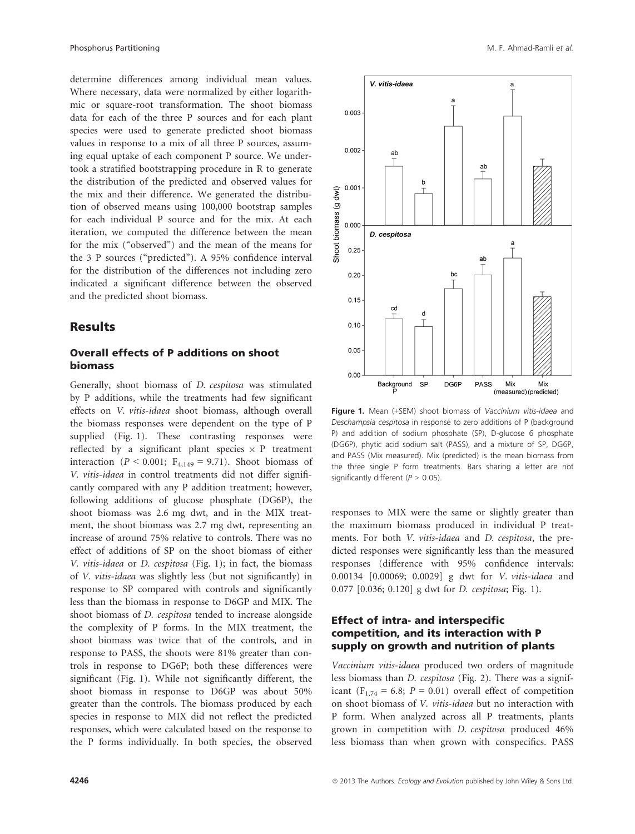determine differences among individual mean values. Where necessary, data were normalized by either logarithmic or square-root transformation. The shoot biomass data for each of the three P sources and for each plant species were used to generate predicted shoot biomass values in response to a mix of all three P sources, assuming equal uptake of each component P source. We undertook a stratified bootstrapping procedure in R to generate the distribution of the predicted and observed values for the mix and their difference. We generated the distribution of observed means using 100,000 bootstrap samples for each individual P source and for the mix. At each iteration, we computed the difference between the mean for the mix ("observed") and the mean of the means for the 3 P sources ("predicted"). A 95% confidence interval for the distribution of the differences not including zero indicated a significant difference between the observed and the predicted shoot biomass.

### **Results**

### Overall effects of P additions on shoot biomass

Generally, shoot biomass of D. cespitosa was stimulated by P additions, while the treatments had few significant effects on V. vitis-idaea shoot biomass, although overall the biomass responses were dependent on the type of P supplied (Fig. 1). These contrasting responses were reflected by a significant plant species  $\times$  P treatment interaction ( $P < 0.001$ ;  $F_{4,149} = 9.71$ ). Shoot biomass of V. vitis-idaea in control treatments did not differ significantly compared with any P addition treatment; however, following additions of glucose phosphate (DG6P), the shoot biomass was 2.6 mg dwt, and in the MIX treatment, the shoot biomass was 2.7 mg dwt, representing an increase of around 75% relative to controls. There was no effect of additions of SP on the shoot biomass of either V. vitis-idaea or D. cespitosa (Fig. 1); in fact, the biomass of V. vitis-idaea was slightly less (but not significantly) in response to SP compared with controls and significantly less than the biomass in response to D6GP and MIX. The shoot biomass of D. cespitosa tended to increase alongside the complexity of P forms. In the MIX treatment, the shoot biomass was twice that of the controls, and in response to PASS, the shoots were 81% greater than controls in response to DG6P; both these differences were significant (Fig. 1). While not significantly different, the shoot biomass in response to D6GP was about 50% greater than the controls. The biomass produced by each species in response to MIX did not reflect the predicted responses, which were calculated based on the response to the P forms individually. In both species, the observed



Figure 1. Mean (+SEM) shoot biomass of Vaccinium vitis-idaea and Deschampsia cespitosa in response to zero additions of P (background P) and addition of sodium phosphate (SP), D-glucose 6 phosphate (DG6P), phytic acid sodium salt (PASS), and a mixture of SP, DG6P, and PASS (Mix measured). Mix (predicted) is the mean biomass from the three single P form treatments. Bars sharing a letter are not significantly different ( $P > 0.05$ ).

responses to MIX were the same or slightly greater than the maximum biomass produced in individual P treatments. For both V. vitis-idaea and D. cespitosa, the predicted responses were significantly less than the measured responses (difference with 95% confidence intervals: 0.00134 [0.00069; 0.0029] g dwt for V. vitis-idaea and 0.077 [0.036; 0.120] g dwt for D. cespitosa; Fig. 1).

# Effect of intra- and interspecific competition, and its interaction with P supply on growth and nutrition of plants

Vaccinium vitis-idaea produced two orders of magnitude less biomass than D. cespitosa (Fig. 2). There was a significant ( $F_{1,74} = 6.8$ ;  $P = 0.01$ ) overall effect of competition on shoot biomass of V. vitis-idaea but no interaction with P form. When analyzed across all P treatments, plants grown in competition with D. cespitosa produced 46% less biomass than when grown with conspecifics. PASS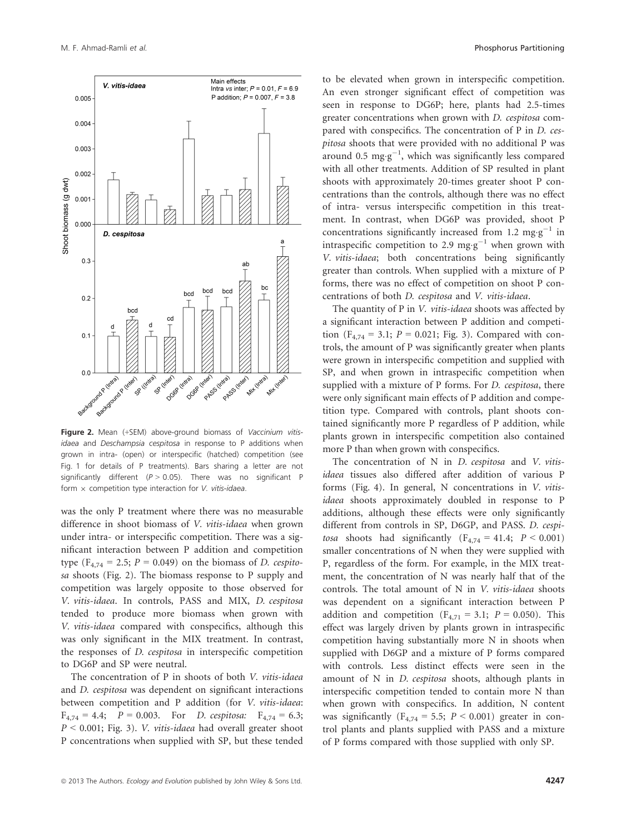Figure 2. Mean (+SEM) above-ground biomass of Vaccinium vitisidaea and Deschampsia cespitosa in response to P additions when grown in intra- (open) or interspecific (hatched) competition (see Fig. 1 for details of P treatments). Bars sharing a letter are not significantly different ( $P > 0.05$ ). There was no significant P form  $\times$  competition type interaction for V. vitis-idaea.

was the only P treatment where there was no measurable difference in shoot biomass of V. vitis-idaea when grown under intra- or interspecific competition. There was a significant interaction between P addition and competition type ( $F_{4,74} = 2.5$ ;  $P = 0.049$ ) on the biomass of D. cespitosa shoots (Fig. 2). The biomass response to P supply and competition was largely opposite to those observed for V. vitis-idaea. In controls, PASS and MIX, D. cespitosa tended to produce more biomass when grown with V. vitis-idaea compared with conspecifics, although this was only significant in the MIX treatment. In contrast, the responses of D. cespitosa in interspecific competition to DG6P and SP were neutral.

The concentration of P in shoots of both V. vitis-idaea and D. cespitosa was dependent on significant interactions between competition and P addition (for V. vitis-idaea:  $F_{4,74} = 4.4;$   $P = 0.003$ . For *D. cespitosa*:  $F_{4,74} = 6.3;$  $P < 0.001$ ; Fig. 3). *V. vitis-idaea* had overall greater shoot P concentrations when supplied with SP, but these tended to be elevated when grown in interspecific competition. An even stronger significant effect of competition was seen in response to DG6P; here, plants had 2.5-times greater concentrations when grown with D. cespitosa compared with conspecifics. The concentration of P in D. cespitosa shoots that were provided with no additional P was around 0.5 mg·g<sup>-1</sup>, which was significantly less compared with all other treatments. Addition of SP resulted in plant shoots with approximately 20-times greater shoot P concentrations than the controls, although there was no effect of intra- versus interspecific competition in this treatment. In contrast, when DG6P was provided, shoot P concentrations significantly increased from 1.2 mg·g<sup>-1</sup> in intraspecific competition to 2.9 mg $\cdot$ g<sup>-1</sup> when grown with V. vitis-idaea; both concentrations being significantly greater than controls. When supplied with a mixture of P forms, there was no effect of competition on shoot P concentrations of both D. cespitosa and V. vitis-idaea.

The quantity of P in V. vitis-idaea shoots was affected by a significant interaction between P addition and competition ( $F_{4,74} = 3.1$ ;  $P = 0.021$ ; Fig. 3). Compared with controls, the amount of P was significantly greater when plants were grown in interspecific competition and supplied with SP, and when grown in intraspecific competition when supplied with a mixture of P forms. For *D. cespitosa*, there were only significant main effects of P addition and competition type. Compared with controls, plant shoots contained significantly more P regardless of P addition, while plants grown in interspecific competition also contained more P than when grown with conspecifics.

The concentration of N in D. cespitosa and V. vitisidaea tissues also differed after addition of various P forms (Fig. 4). In general, N concentrations in V. vitisidaea shoots approximately doubled in response to P additions, although these effects were only significantly different from controls in SP, D6GP, and PASS. D. cespitosa shoots had significantly  $(F_{4,74} = 41.4; P < 0.001)$ smaller concentrations of N when they were supplied with P, regardless of the form. For example, in the MIX treatment, the concentration of N was nearly half that of the controls. The total amount of N in V. vitis-idaea shoots was dependent on a significant interaction between P addition and competition ( $F_{4,71} = 3.1$ ;  $P = 0.050$ ). This effect was largely driven by plants grown in intraspecific competition having substantially more N in shoots when supplied with D6GP and a mixture of P forms compared with controls. Less distinct effects were seen in the amount of N in D. cespitosa shoots, although plants in interspecific competition tended to contain more N than when grown with conspecifics. In addition, N content was significantly ( $F_{4,74} = 5.5$ ;  $P < 0.001$ ) greater in control plants and plants supplied with PASS and a mixture of P forms compared with those supplied with only SP.

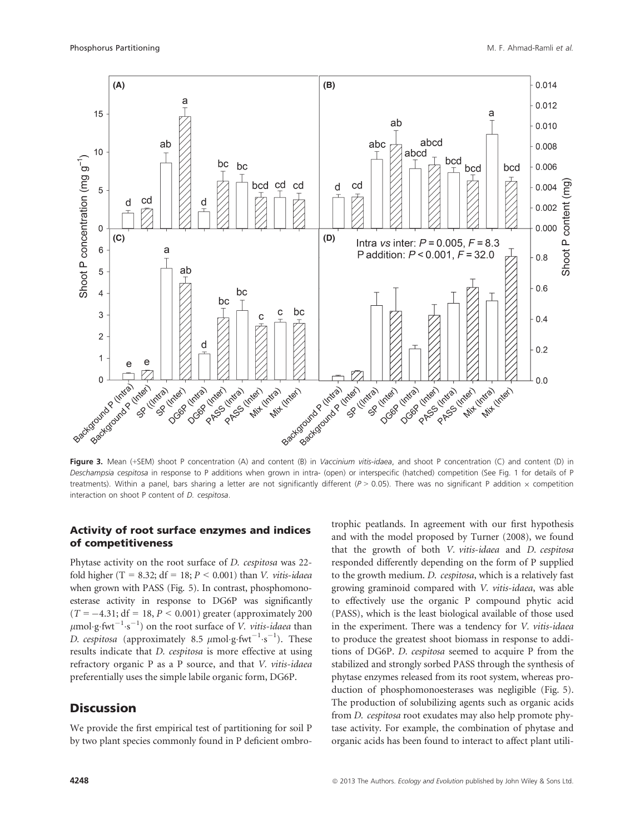

Figure 3. Mean (+SEM) shoot P concentration (A) and content (B) in Vaccinium vitis-idaea, and shoot P concentration (C) and content (D) in Deschampsia cespitosa in response to P additions when grown in intra- (open) or interspecific (hatched) competition (See Fig. 1 for details of P treatments). Within a panel, bars sharing a letter are not significantly different ( $P > 0.05$ ). There was no significant P addition  $\times$  competition interaction on shoot P content of D. cespitosa.

## Activity of root surface enzymes and indices of competitiveness

Phytase activity on the root surface of D. cespitosa was 22 fold higher (T = 8.32; df = 18;  $P < 0.001$ ) than *V. vitis-idaea* when grown with PASS (Fig. 5). In contrast, phosphomonoesterase activity in response to DG6P was significantly  $(T = -4.31; df = 18, P < 0.001)$  greater (approximately 200)  $\mu$ mol $\cdot$ g $\cdot$ fwt $^{-1} \cdot$ s $^{-1}$ ) on the root surface of *V. vitis-idaea* than D. cespitosa (approximately 8.5  $\mu$ mol·g·fwt<sup>-1</sup>·s<sup>-1</sup>). These results indicate that D. cespitosa is more effective at using refractory organic P as a P source, and that V. vitis-idaea preferentially uses the simple labile organic form, DG6P.

# **Discussion**

We provide the first empirical test of partitioning for soil P by two plant species commonly found in P deficient ombrotrophic peatlands. In agreement with our first hypothesis and with the model proposed by Turner (2008), we found that the growth of both V. vitis-idaea and D. cespitosa responded differently depending on the form of P supplied to the growth medium. D. cespitosa, which is a relatively fast growing graminoid compared with V. vitis-idaea, was able to effectively use the organic P compound phytic acid (PASS), which is the least biological available of those used in the experiment. There was a tendency for V. vitis-idaea to produce the greatest shoot biomass in response to additions of DG6P. D. cespitosa seemed to acquire P from the stabilized and strongly sorbed PASS through the synthesis of phytase enzymes released from its root system, whereas production of phosphomonoesterases was negligible (Fig. 5). The production of solubilizing agents such as organic acids from D. cespitosa root exudates may also help promote phytase activity. For example, the combination of phytase and organic acids has been found to interact to affect plant utili-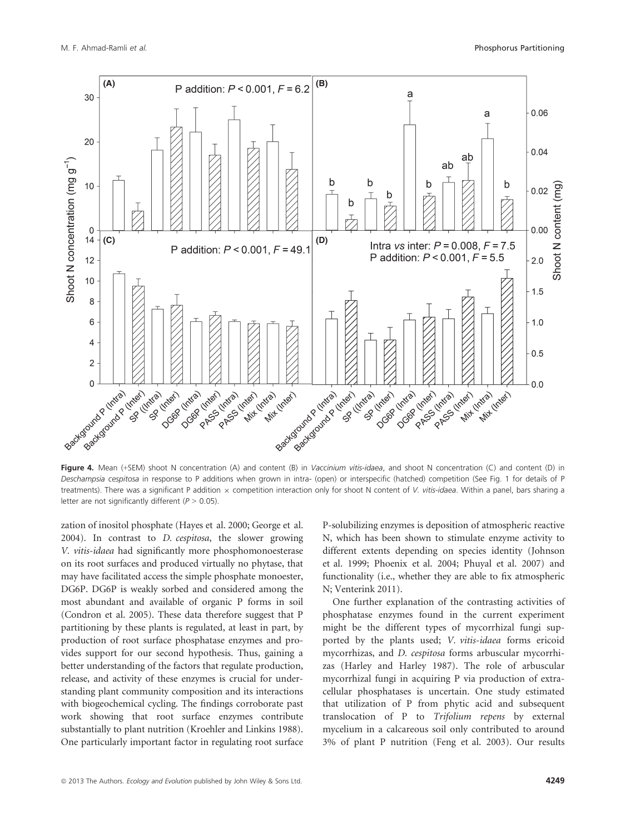

Figure 4. Mean (+SEM) shoot N concentration (A) and content (B) in Vaccinium vitis-idaea, and shoot N concentration (C) and content (D) in Deschampsia cespitosa in response to P additions when grown in intra- (open) or interspecific (hatched) competition (See Fig. 1 for details of P treatments). There was a significant P addition  $\times$  competition interaction only for shoot N content of V. vitis-idaea. Within a panel, bars sharing a letter are not significantly different ( $P > 0.05$ ).

zation of inositol phosphate (Hayes et al. 2000; George et al. 2004). In contrast to D. cespitosa, the slower growing V. vitis-idaea had significantly more phosphomonoesterase on its root surfaces and produced virtually no phytase, that may have facilitated access the simple phosphate monoester, DG6P. DG6P is weakly sorbed and considered among the most abundant and available of organic P forms in soil (Condron et al. 2005). These data therefore suggest that P partitioning by these plants is regulated, at least in part, by production of root surface phosphatase enzymes and provides support for our second hypothesis. Thus, gaining a better understanding of the factors that regulate production, release, and activity of these enzymes is crucial for understanding plant community composition and its interactions with biogeochemical cycling. The findings corroborate past work showing that root surface enzymes contribute substantially to plant nutrition (Kroehler and Linkins 1988). One particularly important factor in regulating root surface P-solubilizing enzymes is deposition of atmospheric reactive N, which has been shown to stimulate enzyme activity to different extents depending on species identity (Johnson et al. 1999; Phoenix et al. 2004; Phuyal et al. 2007) and functionality (i.e., whether they are able to fix atmospheric N; Venterink 2011).

One further explanation of the contrasting activities of phosphatase enzymes found in the current experiment might be the different types of mycorrhizal fungi supported by the plants used; V. vitis-idaea forms ericoid mycorrhizas, and D. cespitosa forms arbuscular mycorrhizas (Harley and Harley 1987). The role of arbuscular mycorrhizal fungi in acquiring P via production of extracellular phosphatases is uncertain. One study estimated that utilization of P from phytic acid and subsequent translocation of P to Trifolium repens by external mycelium in a calcareous soil only contributed to around 3% of plant P nutrition (Feng et al. 2003). Our results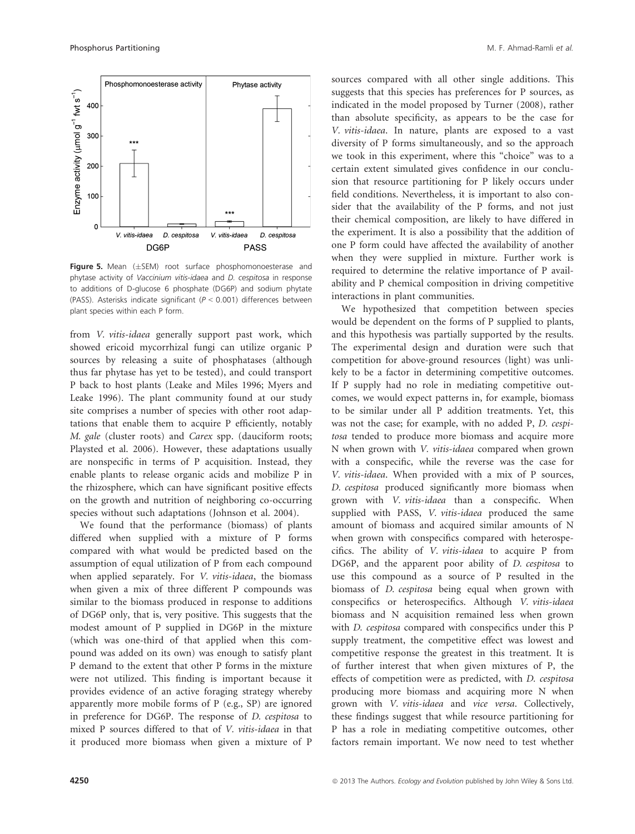

Figure 5. Mean  $(\pm$ SEM) root surface phosphomonoesterase and phytase activity of Vaccinium vitis-idaea and D. cespitosa in response to additions of D-glucose 6 phosphate (DG6P) and sodium phytate (PASS). Asterisks indicate significant ( $P < 0.001$ ) differences between plant species within each P form.

from V. vitis-idaea generally support past work, which showed ericoid mycorrhizal fungi can utilize organic P sources by releasing a suite of phosphatases (although thus far phytase has yet to be tested), and could transport P back to host plants (Leake and Miles 1996; Myers and Leake 1996). The plant community found at our study site comprises a number of species with other root adaptations that enable them to acquire P efficiently, notably M. gale (cluster roots) and Carex spp. (dauciform roots; Playsted et al. 2006). However, these adaptations usually are nonspecific in terms of P acquisition. Instead, they enable plants to release organic acids and mobilize P in the rhizosphere, which can have significant positive effects on the growth and nutrition of neighboring co-occurring species without such adaptations (Johnson et al. 2004).

We found that the performance (biomass) of plants differed when supplied with a mixture of P forms compared with what would be predicted based on the assumption of equal utilization of P from each compound when applied separately. For V. vitis-idaea, the biomass when given a mix of three different P compounds was similar to the biomass produced in response to additions of DG6P only, that is, very positive. This suggests that the modest amount of P supplied in DG6P in the mixture (which was one-third of that applied when this compound was added on its own) was enough to satisfy plant P demand to the extent that other P forms in the mixture were not utilized. This finding is important because it provides evidence of an active foraging strategy whereby apparently more mobile forms of P (e.g., SP) are ignored in preference for DG6P. The response of D. cespitosa to mixed P sources differed to that of V. vitis-idaea in that it produced more biomass when given a mixture of P sources compared with all other single additions. This suggests that this species has preferences for P sources, as indicated in the model proposed by Turner (2008), rather than absolute specificity, as appears to be the case for V. vitis-idaea. In nature, plants are exposed to a vast diversity of P forms simultaneously, and so the approach we took in this experiment, where this "choice" was to a certain extent simulated gives confidence in our conclusion that resource partitioning for P likely occurs under field conditions. Nevertheless, it is important to also consider that the availability of the P forms, and not just their chemical composition, are likely to have differed in the experiment. It is also a possibility that the addition of one P form could have affected the availability of another when they were supplied in mixture. Further work is required to determine the relative importance of P availability and P chemical composition in driving competitive interactions in plant communities.

We hypothesized that competition between species would be dependent on the forms of P supplied to plants, and this hypothesis was partially supported by the results. The experimental design and duration were such that competition for above-ground resources (light) was unlikely to be a factor in determining competitive outcomes. If P supply had no role in mediating competitive outcomes, we would expect patterns in, for example, biomass to be similar under all P addition treatments. Yet, this was not the case; for example, with no added P, D. cespitosa tended to produce more biomass and acquire more N when grown with V. vitis-idaea compared when grown with a conspecific, while the reverse was the case for V. vitis-idaea. When provided with a mix of P sources, D. cespitosa produced significantly more biomass when grown with V. vitis-idaea than a conspecific. When supplied with PASS, V. vitis-idaea produced the same amount of biomass and acquired similar amounts of N when grown with conspecifics compared with heterospecifics. The ability of V. vitis-idaea to acquire P from DG6P, and the apparent poor ability of D. cespitosa to use this compound as a source of P resulted in the biomass of D. cespitosa being equal when grown with conspecifics or heterospecifics. Although V. vitis-idaea biomass and N acquisition remained less when grown with *D. cespitosa* compared with conspecifics under this P supply treatment, the competitive effect was lowest and competitive response the greatest in this treatment. It is of further interest that when given mixtures of P, the effects of competition were as predicted, with D. cespitosa producing more biomass and acquiring more N when grown with V. vitis-idaea and vice versa. Collectively, these findings suggest that while resource partitioning for P has a role in mediating competitive outcomes, other factors remain important. We now need to test whether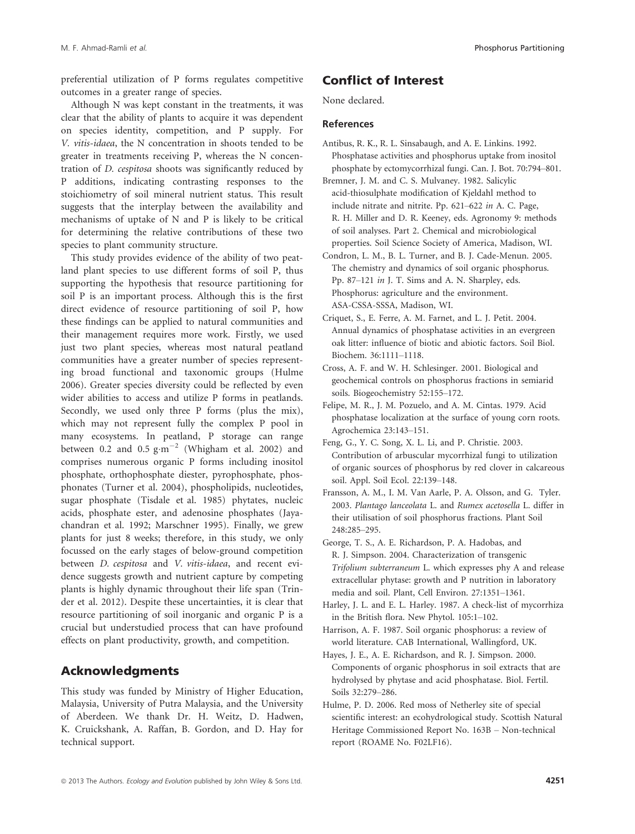preferential utilization of P forms regulates competitive outcomes in a greater range of species.

Although N was kept constant in the treatments, it was clear that the ability of plants to acquire it was dependent on species identity, competition, and P supply. For V. vitis-idaea, the N concentration in shoots tended to be greater in treatments receiving P, whereas the N concentration of D. cespitosa shoots was significantly reduced by P additions, indicating contrasting responses to the stoichiometry of soil mineral nutrient status. This result suggests that the interplay between the availability and mechanisms of uptake of N and P is likely to be critical for determining the relative contributions of these two species to plant community structure.

This study provides evidence of the ability of two peatland plant species to use different forms of soil P, thus supporting the hypothesis that resource partitioning for soil P is an important process. Although this is the first direct evidence of resource partitioning of soil P, how these findings can be applied to natural communities and their management requires more work. Firstly, we used just two plant species, whereas most natural peatland communities have a greater number of species representing broad functional and taxonomic groups (Hulme 2006). Greater species diversity could be reflected by even wider abilities to access and utilize P forms in peatlands. Secondly, we used only three P forms (plus the mix), which may not represent fully the complex P pool in many ecosystems. In peatland, P storage can range between 0.2 and 0.5  $\text{g} \cdot \text{m}^{-2}$  (Whigham et al. 2002) and comprises numerous organic P forms including inositol phosphate, orthophosphate diester, pyrophosphate, phosphonates (Turner et al. 2004), phospholipids, nucleotides, sugar phosphate (Tisdale et al. 1985) phytates, nucleic acids, phosphate ester, and adenosine phosphates (Jayachandran et al. 1992; Marschner 1995). Finally, we grew plants for just 8 weeks; therefore, in this study, we only focussed on the early stages of below-ground competition between D. cespitosa and V. vitis-idaea, and recent evidence suggests growth and nutrient capture by competing plants is highly dynamic throughout their life span (Trinder et al. 2012). Despite these uncertainties, it is clear that resource partitioning of soil inorganic and organic P is a crucial but understudied process that can have profound effects on plant productivity, growth, and competition.

# Acknowledgments

This study was funded by Ministry of Higher Education, Malaysia, University of Putra Malaysia, and the University of Aberdeen. We thank Dr. H. Weitz, D. Hadwen, K. Cruickshank, A. Raffan, B. Gordon, and D. Hay for technical support.

# Conflict of Interest

None declared.

#### References

- Antibus, R. K., R. L. Sinsabaugh, and A. E. Linkins. 1992. Phosphatase activities and phosphorus uptake from inositol phosphate by ectomycorrhizal fungi. Can. J. Bot. 70:794–801.
- Bremner, J. M. and C. S. Mulvaney. 1982. Salicylic acid-thiosulphate modification of Kjeldahl method to include nitrate and nitrite. Pp. 621–622 in A. C. Page, R. H. Miller and D. R. Keeney, eds. Agronomy 9: methods of soil analyses. Part 2. Chemical and microbiological properties. Soil Science Society of America, Madison, WI.
- Condron, L. M., B. L. Turner, and B. J. Cade-Menun. 2005. The chemistry and dynamics of soil organic phosphorus. Pp. 87–121 in J. T. Sims and A. N. Sharpley, eds. Phosphorus: agriculture and the environment. ASA-CSSA-SSSA, Madison, WI.
- Criquet, S., E. Ferre, A. M. Farnet, and L. J. Petit. 2004. Annual dynamics of phosphatase activities in an evergreen oak litter: influence of biotic and abiotic factors. Soil Biol. Biochem. 36:1111–1118.
- Cross, A. F. and W. H. Schlesinger. 2001. Biological and geochemical controls on phosphorus fractions in semiarid soils. Biogeochemistry 52:155–172.
- Felipe, M. R., J. M. Pozuelo, and A. M. Cintas. 1979. Acid phosphatase localization at the surface of young corn roots. Agrochemica 23:143–151.
- Feng, G., Y. C. Song, X. L. Li, and P. Christie. 2003. Contribution of arbuscular mycorrhizal fungi to utilization of organic sources of phosphorus by red clover in calcareous soil. Appl. Soil Ecol. 22:139–148.
- Fransson, A. M., I. M. Van Aarle, P. A. Olsson, and G. Tyler. 2003. Plantago lanceolata L. and Rumex acetosella L. differ in their utilisation of soil phosphorus fractions. Plant Soil 248:285–295.
- George, T. S., A. E. Richardson, P. A. Hadobas, and R. J. Simpson. 2004. Characterization of transgenic Trifolium subterraneum L. which expresses phy A and release extracellular phytase: growth and P nutrition in laboratory media and soil. Plant, Cell Environ. 27:1351–1361.
- Harley, J. L. and E. L. Harley. 1987. A check-list of mycorrhiza in the British flora. New Phytol. 105:1–102.
- Harrison, A. F. 1987. Soil organic phosphorus: a review of world literature. CAB International, Wallingford, UK.
- Hayes, J. E., A. E. Richardson, and R. J. Simpson. 2000. Components of organic phosphorus in soil extracts that are hydrolysed by phytase and acid phosphatase. Biol. Fertil. Soils 32:279–286.
- Hulme, P. D. 2006. Red moss of Netherley site of special scientific interest: an ecohydrological study. Scottish Natural Heritage Commissioned Report No. 163B – Non-technical report (ROAME No. F02LF16).